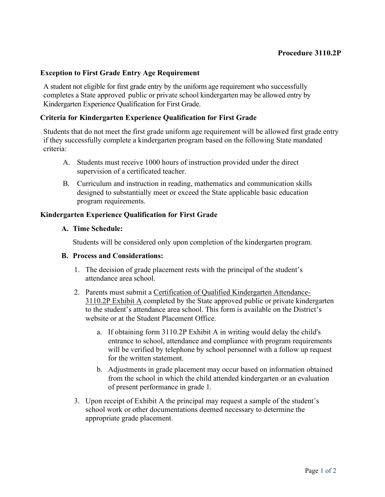## Exception to First Grade Entry Age Requirement

A student not eligible for first grade entry by the uniform age requirement who successfully completes a State approved public or private school kindergarten may be allowed entry by Kindergarten Experience Qualification for First Grade.

#### Criteria for Kindergarten Experience Qualification for First Grade

Students that do not meet the first grade uniform age requirement will be allowed first grade entry if they successfully complete a kindergarten program based on the following State mandated criteria:

- A. Students must receive 1000 hours of instruction provided under the direct supervision of a certificated teacher.
- B. Curriculum and instruction in reading, mathematics and communication skills designed to substantially meet or exceed the State applicable basic education program requirements.

#### Kindergarten Experience Qualification for First Grade

#### A. Time Schedule:

Students will be considered only upon completion of the kindergarten program.

### B. Process and Considerations:

- 1. The decision of grade placement rests with the principal of the student's attendance area school.
- 2. Parents must submit a Certification of Qualified Kindergarten Attendance-3110.2P Exhibit A completed by the State approved public or private kindergarten to the student's attendance area school. This form is available on the District's website or at the Student Placement Office.
	- a. If obtaining form 3110.2P Exhibit A in writing would delay the child's entrance to school, attendance and compliance with program requirements will be verified by telephone by school personnel with a follow up request for the written statement.
	- b. Adjustments in grade placement may occur based on information obtained from the school in which the child attended kindergarten or an evaluation of present performance in grade 1.
- 3. Upon receipt of Exhibit A the principal may request a sample of the student's school work or other documentations deemed necessary to determine the appropriate grade placement.